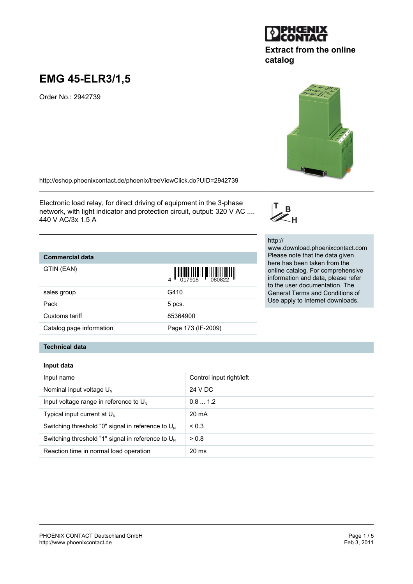# **EMG 45-ELR3/1,5**

Order No.: 2942739

<http://eshop.phoenixcontact.de/phoenix/treeViewClick.do?UID=2942739>

Electronic load relay, for direct driving of equipment in the 3-phase network, with light indicator and protection circuit, output: 320 V AC .... 440 V AC/3x 1.5 A

# **Commercial data**

GTIN (EAN)

|                          | 4 017918 080822    |
|--------------------------|--------------------|
| sales group              | G410               |
| Pack                     | 5 pcs.             |
| Customs tariff           | 85364900           |
| Catalog page information | Page 173 (IF-2009) |

### **Technical data**

| Input data |  |
|------------|--|
|------------|--|

| Input name                                             | Control input right/left |
|--------------------------------------------------------|--------------------------|
| Nominal input voltage $U_{N}$                          | 24 V DC                  |
| Input voltage range in reference to $U_{N}$            | 0.81.2                   |
| Typical input current at $U_{N}$                       | 20 mA                    |
| Switching threshold "0" signal in reference to $UN$    | < 0.3                    |
| Switching threshold "1" signal in reference to $U_{N}$ | > 0.8                    |
| Reaction time in normal load operation                 | 20 <sub>ms</sub>         |

**TERRITORIA DEL PORTE DELL'INDIA DELL'INDIA DELL'INDIA DELL'INDIA DELL'INDIA DELL'INDIA DELL'INDIA DELL'INDIA D** 



http:// www.download.phoenixcontact.com Please note that the data given here has been taken from the online catalog. For comprehensive information and data, please refer to the user documentation. The General Terms and Conditions of Use apply to Internet downloads.

 $\mathbb{Z}_{H}^{B}$ 



**Extract from the online**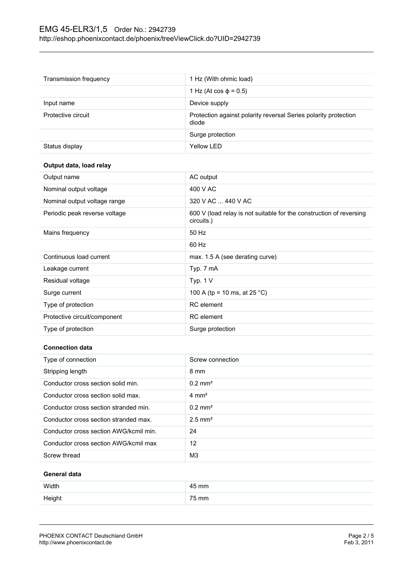| Transmission frequency        | 1 Hz (With ohmic load)                                                            |
|-------------------------------|-----------------------------------------------------------------------------------|
|                               | 1 Hz (At cos $φ = 0.5$ )                                                          |
| Input name                    | Device supply                                                                     |
| Protective circuit            | Protection against polarity reversal Series polarity protection<br>diode          |
|                               | Surge protection                                                                  |
| Status display                | <b>Yellow LED</b>                                                                 |
| Output data, load relay       |                                                                                   |
| Output name                   | AC output                                                                         |
| Nominal output voltage        | 400 V AC                                                                          |
| Nominal output voltage range  | 320 V AC  440 V AC                                                                |
| Periodic peak reverse voltage | 600 V (load relay is not suitable for the construction of reversing<br>circuits.) |
| Mains frequency               | 50 Hz                                                                             |
|                               | 60 Hz                                                                             |
| Continuous load current       | max. 1.5 A (see derating curve)                                                   |
| Leakage current               | Typ. 7 mA                                                                         |
| Residual voltage              | Typ. $1 V$                                                                        |
| Surge current                 | 100 A (tp = 10 ms, at 25 °C)                                                      |
| Type of protection            | <b>RC</b> element                                                                 |
| Protective circuit/component  | <b>RC</b> element                                                                 |
| Type of protection            | Surge protection                                                                  |
|                               |                                                                                   |
| <b>Connection data</b>        |                                                                                   |

| Type of connection                     | Screw connection      |
|----------------------------------------|-----------------------|
| Stripping length                       | 8 mm                  |
| Conductor cross section solid min.     | $0.2$ mm <sup>2</sup> |
| Conductor cross section solid max.     | $4 \text{ mm}^2$      |
| Conductor cross section stranded min.  | $0.2$ mm <sup>2</sup> |
| Conductor cross section stranded max.  | $2.5$ mm <sup>2</sup> |
| Conductor cross section AWG/kcmil min. | 24                    |
| Conductor cross section AWG/kcmil max  | 12                    |
| Screw thread                           | M <sub>3</sub>        |
|                                        |                       |

### **General data**

| Width  | 45 mm |
|--------|-------|
| Height | 75 mm |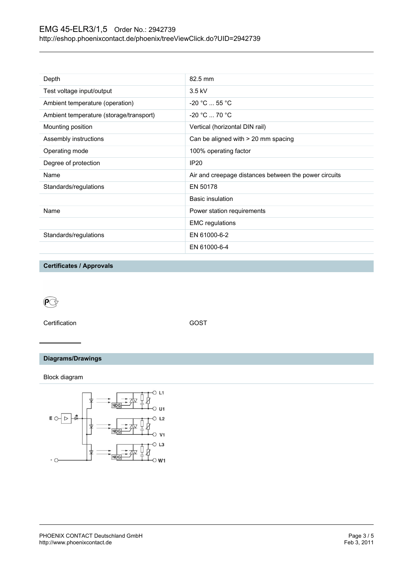| Depth                                   | 82.5 mm                                               |
|-----------------------------------------|-------------------------------------------------------|
| Test voltage input/output               | $3.5$ kV                                              |
| Ambient temperature (operation)         | $-20 °C  55 °C$                                       |
| Ambient temperature (storage/transport) | $-20 °C  70 °C$                                       |
| Mounting position                       | Vertical (horizontal DIN rail)                        |
| Assembly instructions                   | Can be aligned with > 20 mm spacing                   |
| Operating mode                          | 100% operating factor                                 |
| Degree of protection                    | IP <sub>20</sub>                                      |
| Name                                    | Air and creepage distances between the power circuits |
| Standards/regulations                   | EN 50178                                              |
|                                         | <b>Basic insulation</b>                               |
| Name                                    | Power station requirements                            |
|                                         | <b>EMC</b> regulations                                |
| Standards/regulations                   | EN 61000-6-2                                          |
|                                         | EN 61000-6-4                                          |

**Certificates / Approvals**

 $\mathbb{C}$ 

Certification GOST

# **Diagrams/Drawings**

Block diagram

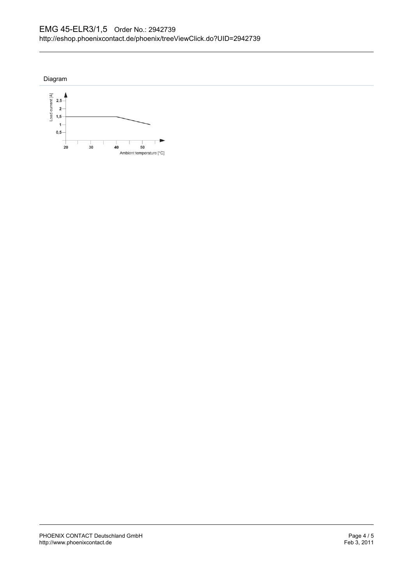